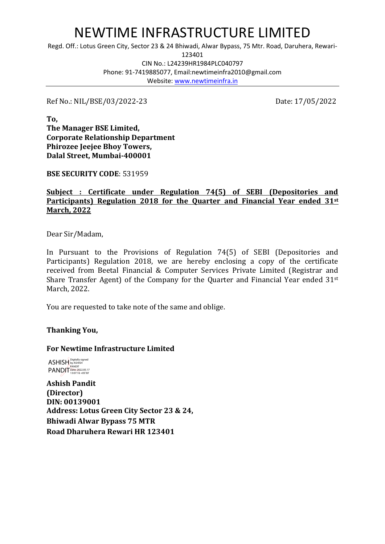# NEWTIME INFRASTRUCTURE LIMITED

Regd. Off.: Lotus Green City, Sector 23 & 24 Bhiwadi, Alwar Bypass, 75 Mtr. Road, Daruhera, Rewari-

123401

CIN No.: L24239HR1984PLC040797 Phone: 91-7419885077, Email:newtimeinfra2010@gmail.com Website: [www.newtimeinfra.in](http://www.newtimeinfra.in/)

Ref No.: NIL/BSE/03/2022-23 Date: 17/05/2022

**To, The Manager BSE Limited, Corporate Relationship Department Phirozee Jeejee Bhoy Towers, Dalal Street, Mumbai-400001**

**BSE SECURITY CODE**: 531959

#### **Subject : Certificate under Regulation 74(5) of SEBI (Depositories and Participants) Regulation 2018 for the Quarter and Financial Year ended 31st March, 2022**

Dear Sir/Madam,

In Pursuant to the Provisions of Regulation 74(5) of SEBI (Depositories and Participants) Regulation 2018, we are hereby enclosing a copy of the certificate received from Beetal Financial & Computer Services Private Limited (Registrar and Share Transfer Agent) of the Company for the Quarter and Financial Year ended 31st March, 2022.

You are requested to take note of the same and oblige.

## **Thanking You,**

## **For Newtime Infrastructure Limited**

ASHISH by ASHISH PANDIT PANDIT Date: 2022.05.17 13:07:16 +05'30'

**Ashish Pandit (Director) DIN: 00139001 Address: Lotus Green City Sector 23 & 24, Bhiwadi Alwar Bypass 75 MTR Road Dharuhera Rewari HR 123401**